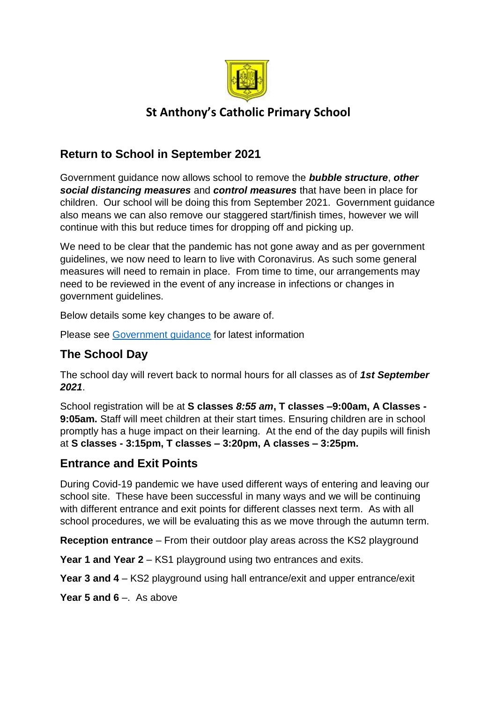

# **St Anthony's Catholic Primary School**

# **Return to School in September 2021**

Government guidance now allows school to remove the *bubble structure*, *other social distancing measures* and *control measures* that have been in place for children. Our school will be doing this from September 2021. Government guidance also means we can also remove our staggered start/finish times, however we will continue with this but reduce times for dropping off and picking up.

We need to be clear that the pandemic has not gone away and as per government guidelines, we now need to learn to live with Coronavirus. As such some general measures will need to remain in place. From time to time, our arrangements may need to be reviewed in the event of any increase in infections or changes in government guidelines.

Below details some key changes to be aware of.

Please see [Government guidance](https://www.gov.uk/government/publications/actions-for-schools-during-the-coronavirus-outbreak/schools-covid-19-operational-guidance#risk-assessment) for latest information

# **The School Day**

The school day will revert back to normal hours for all classes as of *1st September 2021*.

School registration will be at **S classes** *8:55 am***, T classes –9:00am, A Classes - 9:05am.** Staff will meet children at their start times. Ensuring children are in school promptly has a huge impact on their learning. At the end of the day pupils will finish at **S classes - 3:15pm, T classes – 3:20pm, A classes – 3:25pm.**

### **Entrance and Exit Points**

During Covid-19 pandemic we have used different ways of entering and leaving our school site. These have been successful in many ways and we will be continuing with different entrance and exit points for different classes next term. As with all school procedures, we will be evaluating this as we move through the autumn term.

**Reception entrance** – From their outdoor play areas across the KS2 playground

**Year 1 and Year 2** – KS1 playground using two entrances and exits.

**Year 3 and 4** – KS2 playground using hall entrance/exit and upper entrance/exit

**Year 5 and 6** –. As above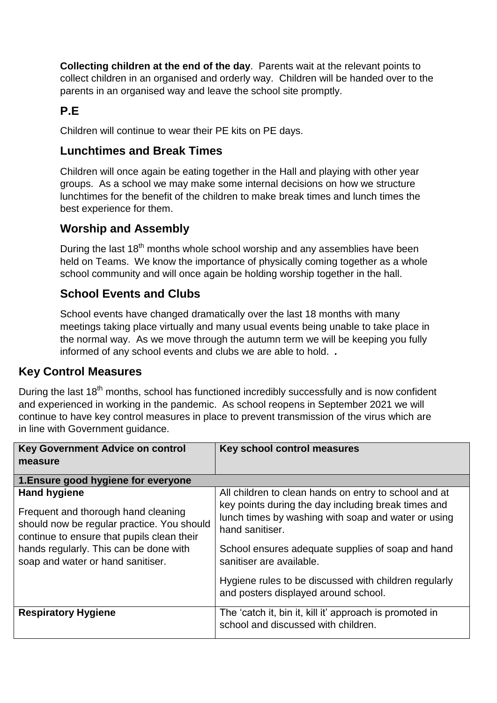**Collecting children at the end of the day**. Parents wait at the relevant points to collect children in an organised and orderly way. Children will be handed over to the parents in an organised way and leave the school site promptly.

# **P.E**

Children will continue to wear their PE kits on PE days.

### **Lunchtimes and Break Times**

Children will once again be eating together in the Hall and playing with other year groups. As a school we may make some internal decisions on how we structure lunchtimes for the benefit of the children to make break times and lunch times the best experience for them.

### **Worship and Assembly**

During the last  $18<sup>th</sup>$  months whole school worship and any assemblies have been held on Teams. We know the importance of physically coming together as a whole school community and will once again be holding worship together in the hall.

## **School Events and Clubs**

School events have changed dramatically over the last 18 months with many meetings taking place virtually and many usual events being unable to take place in the normal way. As we move through the autumn term we will be keeping you fully informed of any school events and clubs we are able to hold. *.*

### **Key Control Measures**

During the last  $18<sup>th</sup>$  months, school has functioned incredibly successfully and is now confident and experienced in working in the pandemic. As school reopens in September 2021 we will continue to have key control measures in place to prevent transmission of the virus which are in line with Government guidance.

| <b>Key Government Advice on control</b><br>measure                                                                                                                                                                                    | Key school control measures                                                                                                                                                                                                                                                                                                                                              |  |
|---------------------------------------------------------------------------------------------------------------------------------------------------------------------------------------------------------------------------------------|--------------------------------------------------------------------------------------------------------------------------------------------------------------------------------------------------------------------------------------------------------------------------------------------------------------------------------------------------------------------------|--|
| 1. Ensure good hygiene for everyone                                                                                                                                                                                                   |                                                                                                                                                                                                                                                                                                                                                                          |  |
| <b>Hand hygiene</b><br>Frequent and thorough hand cleaning<br>should now be regular practice. You should<br>continue to ensure that pupils clean their<br>hands regularly. This can be done with<br>soap and water or hand sanitiser. | All children to clean hands on entry to school and at<br>key points during the day including break times and<br>lunch times by washing with soap and water or using<br>hand sanitiser.<br>School ensures adequate supplies of soap and hand<br>sanitiser are available.<br>Hygiene rules to be discussed with children regularly<br>and posters displayed around school. |  |
| <b>Respiratory Hygiene</b>                                                                                                                                                                                                            | The 'catch it, bin it, kill it' approach is promoted in<br>school and discussed with children.                                                                                                                                                                                                                                                                           |  |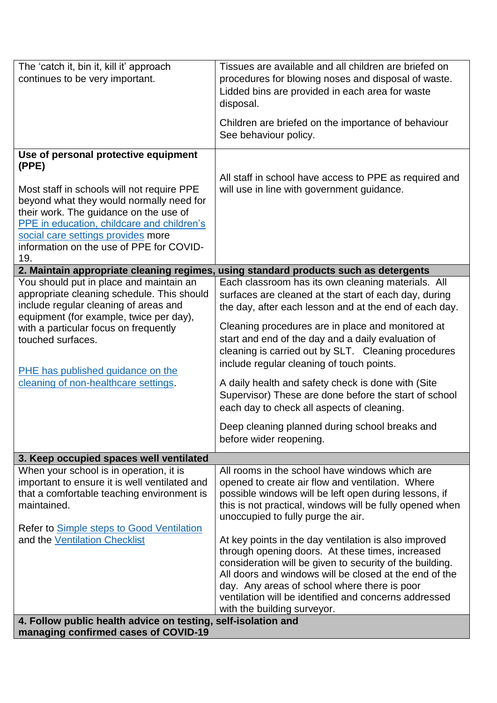| continues to be very important.<br>procedures for blowing noses and disposal of waste.<br>Lidded bins are provided in each area for waste<br>disposal.<br>Children are briefed on the importance of behaviour<br>See behaviour policy.<br>Use of personal protective equipment<br>(PPE)<br>All staff in school have access to PPE as required and<br>Most staff in schools will not require PPE<br>will use in line with government guidance.<br>beyond what they would normally need for<br>their work. The guidance on the use of<br>PPE in education, childcare and children's<br>social care settings provides more<br>information on the use of PPE for COVID-<br>19.<br>2. Maintain appropriate cleaning regimes, using standard products such as detergents<br>You should put in place and maintain an<br>Each classroom has its own cleaning materials. All<br>appropriate cleaning schedule. This should<br>surfaces are cleaned at the start of each day, during<br>include regular cleaning of areas and<br>the day, after each lesson and at the end of each day.<br>equipment (for example, twice per day),<br>Cleaning procedures are in place and monitored at<br>with a particular focus on frequently<br>start and end of the day and a daily evaluation of<br>touched surfaces.<br>cleaning is carried out by SLT. Cleaning procedures<br>include regular cleaning of touch points.<br>PHE has published guidance on the<br>cleaning of non-healthcare settings.<br>A daily health and safety check is done with (Site<br>Supervisor) These are done before the start of school<br>each day to check all aspects of cleaning.<br>Deep cleaning planned during school breaks and<br>before wider reopening.<br>3. Keep occupied spaces well ventilated<br>When your school is in operation, it is<br>All rooms in the school have windows which are<br>important to ensure it is well ventilated and<br>opened to create air flow and ventilation. Where<br>that a comfortable teaching environment is<br>possible windows will be left open during lessons, if<br>this is not practical, windows will be fully opened when<br>maintained.<br>unoccupied to fully purge the air.<br>Refer to <b>Simple steps to Good Ventilation</b><br>and the Ventilation Checklist<br>At key points in the day ventilation is also improved<br>through opening doors. At these times, increased<br>consideration will be given to security of the building.<br>All doors and windows will be closed at the end of the<br>day. Any areas of school where there is poor<br>ventilation will be identified and concerns addressed<br>with the building surveyor.<br>4. Follow public health advice on testing, self-isolation and | The 'catch it, bin it, kill it' approach | Tissues are available and all children are briefed on |
|------------------------------------------------------------------------------------------------------------------------------------------------------------------------------------------------------------------------------------------------------------------------------------------------------------------------------------------------------------------------------------------------------------------------------------------------------------------------------------------------------------------------------------------------------------------------------------------------------------------------------------------------------------------------------------------------------------------------------------------------------------------------------------------------------------------------------------------------------------------------------------------------------------------------------------------------------------------------------------------------------------------------------------------------------------------------------------------------------------------------------------------------------------------------------------------------------------------------------------------------------------------------------------------------------------------------------------------------------------------------------------------------------------------------------------------------------------------------------------------------------------------------------------------------------------------------------------------------------------------------------------------------------------------------------------------------------------------------------------------------------------------------------------------------------------------------------------------------------------------------------------------------------------------------------------------------------------------------------------------------------------------------------------------------------------------------------------------------------------------------------------------------------------------------------------------------------------------------------------------------------------------------------------------------------------------------------------------------------------------------------------------------------------------------------------------------------------------------------------------------------------------------------------------------------------------------------------------------------------------------------------------------------------------------------------------------------------------------------------|------------------------------------------|-------------------------------------------------------|
|                                                                                                                                                                                                                                                                                                                                                                                                                                                                                                                                                                                                                                                                                                                                                                                                                                                                                                                                                                                                                                                                                                                                                                                                                                                                                                                                                                                                                                                                                                                                                                                                                                                                                                                                                                                                                                                                                                                                                                                                                                                                                                                                                                                                                                                                                                                                                                                                                                                                                                                                                                                                                                                                                                                                    |                                          |                                                       |
|                                                                                                                                                                                                                                                                                                                                                                                                                                                                                                                                                                                                                                                                                                                                                                                                                                                                                                                                                                                                                                                                                                                                                                                                                                                                                                                                                                                                                                                                                                                                                                                                                                                                                                                                                                                                                                                                                                                                                                                                                                                                                                                                                                                                                                                                                                                                                                                                                                                                                                                                                                                                                                                                                                                                    |                                          |                                                       |
|                                                                                                                                                                                                                                                                                                                                                                                                                                                                                                                                                                                                                                                                                                                                                                                                                                                                                                                                                                                                                                                                                                                                                                                                                                                                                                                                                                                                                                                                                                                                                                                                                                                                                                                                                                                                                                                                                                                                                                                                                                                                                                                                                                                                                                                                                                                                                                                                                                                                                                                                                                                                                                                                                                                                    |                                          |                                                       |
|                                                                                                                                                                                                                                                                                                                                                                                                                                                                                                                                                                                                                                                                                                                                                                                                                                                                                                                                                                                                                                                                                                                                                                                                                                                                                                                                                                                                                                                                                                                                                                                                                                                                                                                                                                                                                                                                                                                                                                                                                                                                                                                                                                                                                                                                                                                                                                                                                                                                                                                                                                                                                                                                                                                                    |                                          |                                                       |
|                                                                                                                                                                                                                                                                                                                                                                                                                                                                                                                                                                                                                                                                                                                                                                                                                                                                                                                                                                                                                                                                                                                                                                                                                                                                                                                                                                                                                                                                                                                                                                                                                                                                                                                                                                                                                                                                                                                                                                                                                                                                                                                                                                                                                                                                                                                                                                                                                                                                                                                                                                                                                                                                                                                                    |                                          |                                                       |
|                                                                                                                                                                                                                                                                                                                                                                                                                                                                                                                                                                                                                                                                                                                                                                                                                                                                                                                                                                                                                                                                                                                                                                                                                                                                                                                                                                                                                                                                                                                                                                                                                                                                                                                                                                                                                                                                                                                                                                                                                                                                                                                                                                                                                                                                                                                                                                                                                                                                                                                                                                                                                                                                                                                                    |                                          |                                                       |
|                                                                                                                                                                                                                                                                                                                                                                                                                                                                                                                                                                                                                                                                                                                                                                                                                                                                                                                                                                                                                                                                                                                                                                                                                                                                                                                                                                                                                                                                                                                                                                                                                                                                                                                                                                                                                                                                                                                                                                                                                                                                                                                                                                                                                                                                                                                                                                                                                                                                                                                                                                                                                                                                                                                                    |                                          |                                                       |
|                                                                                                                                                                                                                                                                                                                                                                                                                                                                                                                                                                                                                                                                                                                                                                                                                                                                                                                                                                                                                                                                                                                                                                                                                                                                                                                                                                                                                                                                                                                                                                                                                                                                                                                                                                                                                                                                                                                                                                                                                                                                                                                                                                                                                                                                                                                                                                                                                                                                                                                                                                                                                                                                                                                                    |                                          |                                                       |
|                                                                                                                                                                                                                                                                                                                                                                                                                                                                                                                                                                                                                                                                                                                                                                                                                                                                                                                                                                                                                                                                                                                                                                                                                                                                                                                                                                                                                                                                                                                                                                                                                                                                                                                                                                                                                                                                                                                                                                                                                                                                                                                                                                                                                                                                                                                                                                                                                                                                                                                                                                                                                                                                                                                                    |                                          |                                                       |
|                                                                                                                                                                                                                                                                                                                                                                                                                                                                                                                                                                                                                                                                                                                                                                                                                                                                                                                                                                                                                                                                                                                                                                                                                                                                                                                                                                                                                                                                                                                                                                                                                                                                                                                                                                                                                                                                                                                                                                                                                                                                                                                                                                                                                                                                                                                                                                                                                                                                                                                                                                                                                                                                                                                                    |                                          |                                                       |
|                                                                                                                                                                                                                                                                                                                                                                                                                                                                                                                                                                                                                                                                                                                                                                                                                                                                                                                                                                                                                                                                                                                                                                                                                                                                                                                                                                                                                                                                                                                                                                                                                                                                                                                                                                                                                                                                                                                                                                                                                                                                                                                                                                                                                                                                                                                                                                                                                                                                                                                                                                                                                                                                                                                                    |                                          |                                                       |
|                                                                                                                                                                                                                                                                                                                                                                                                                                                                                                                                                                                                                                                                                                                                                                                                                                                                                                                                                                                                                                                                                                                                                                                                                                                                                                                                                                                                                                                                                                                                                                                                                                                                                                                                                                                                                                                                                                                                                                                                                                                                                                                                                                                                                                                                                                                                                                                                                                                                                                                                                                                                                                                                                                                                    |                                          |                                                       |
|                                                                                                                                                                                                                                                                                                                                                                                                                                                                                                                                                                                                                                                                                                                                                                                                                                                                                                                                                                                                                                                                                                                                                                                                                                                                                                                                                                                                                                                                                                                                                                                                                                                                                                                                                                                                                                                                                                                                                                                                                                                                                                                                                                                                                                                                                                                                                                                                                                                                                                                                                                                                                                                                                                                                    |                                          |                                                       |
|                                                                                                                                                                                                                                                                                                                                                                                                                                                                                                                                                                                                                                                                                                                                                                                                                                                                                                                                                                                                                                                                                                                                                                                                                                                                                                                                                                                                                                                                                                                                                                                                                                                                                                                                                                                                                                                                                                                                                                                                                                                                                                                                                                                                                                                                                                                                                                                                                                                                                                                                                                                                                                                                                                                                    |                                          |                                                       |
|                                                                                                                                                                                                                                                                                                                                                                                                                                                                                                                                                                                                                                                                                                                                                                                                                                                                                                                                                                                                                                                                                                                                                                                                                                                                                                                                                                                                                                                                                                                                                                                                                                                                                                                                                                                                                                                                                                                                                                                                                                                                                                                                                                                                                                                                                                                                                                                                                                                                                                                                                                                                                                                                                                                                    |                                          |                                                       |
|                                                                                                                                                                                                                                                                                                                                                                                                                                                                                                                                                                                                                                                                                                                                                                                                                                                                                                                                                                                                                                                                                                                                                                                                                                                                                                                                                                                                                                                                                                                                                                                                                                                                                                                                                                                                                                                                                                                                                                                                                                                                                                                                                                                                                                                                                                                                                                                                                                                                                                                                                                                                                                                                                                                                    |                                          |                                                       |
|                                                                                                                                                                                                                                                                                                                                                                                                                                                                                                                                                                                                                                                                                                                                                                                                                                                                                                                                                                                                                                                                                                                                                                                                                                                                                                                                                                                                                                                                                                                                                                                                                                                                                                                                                                                                                                                                                                                                                                                                                                                                                                                                                                                                                                                                                                                                                                                                                                                                                                                                                                                                                                                                                                                                    |                                          |                                                       |
|                                                                                                                                                                                                                                                                                                                                                                                                                                                                                                                                                                                                                                                                                                                                                                                                                                                                                                                                                                                                                                                                                                                                                                                                                                                                                                                                                                                                                                                                                                                                                                                                                                                                                                                                                                                                                                                                                                                                                                                                                                                                                                                                                                                                                                                                                                                                                                                                                                                                                                                                                                                                                                                                                                                                    |                                          |                                                       |
|                                                                                                                                                                                                                                                                                                                                                                                                                                                                                                                                                                                                                                                                                                                                                                                                                                                                                                                                                                                                                                                                                                                                                                                                                                                                                                                                                                                                                                                                                                                                                                                                                                                                                                                                                                                                                                                                                                                                                                                                                                                                                                                                                                                                                                                                                                                                                                                                                                                                                                                                                                                                                                                                                                                                    |                                          |                                                       |
|                                                                                                                                                                                                                                                                                                                                                                                                                                                                                                                                                                                                                                                                                                                                                                                                                                                                                                                                                                                                                                                                                                                                                                                                                                                                                                                                                                                                                                                                                                                                                                                                                                                                                                                                                                                                                                                                                                                                                                                                                                                                                                                                                                                                                                                                                                                                                                                                                                                                                                                                                                                                                                                                                                                                    |                                          |                                                       |
|                                                                                                                                                                                                                                                                                                                                                                                                                                                                                                                                                                                                                                                                                                                                                                                                                                                                                                                                                                                                                                                                                                                                                                                                                                                                                                                                                                                                                                                                                                                                                                                                                                                                                                                                                                                                                                                                                                                                                                                                                                                                                                                                                                                                                                                                                                                                                                                                                                                                                                                                                                                                                                                                                                                                    |                                          |                                                       |
|                                                                                                                                                                                                                                                                                                                                                                                                                                                                                                                                                                                                                                                                                                                                                                                                                                                                                                                                                                                                                                                                                                                                                                                                                                                                                                                                                                                                                                                                                                                                                                                                                                                                                                                                                                                                                                                                                                                                                                                                                                                                                                                                                                                                                                                                                                                                                                                                                                                                                                                                                                                                                                                                                                                                    |                                          |                                                       |
|                                                                                                                                                                                                                                                                                                                                                                                                                                                                                                                                                                                                                                                                                                                                                                                                                                                                                                                                                                                                                                                                                                                                                                                                                                                                                                                                                                                                                                                                                                                                                                                                                                                                                                                                                                                                                                                                                                                                                                                                                                                                                                                                                                                                                                                                                                                                                                                                                                                                                                                                                                                                                                                                                                                                    |                                          |                                                       |
|                                                                                                                                                                                                                                                                                                                                                                                                                                                                                                                                                                                                                                                                                                                                                                                                                                                                                                                                                                                                                                                                                                                                                                                                                                                                                                                                                                                                                                                                                                                                                                                                                                                                                                                                                                                                                                                                                                                                                                                                                                                                                                                                                                                                                                                                                                                                                                                                                                                                                                                                                                                                                                                                                                                                    |                                          |                                                       |
|                                                                                                                                                                                                                                                                                                                                                                                                                                                                                                                                                                                                                                                                                                                                                                                                                                                                                                                                                                                                                                                                                                                                                                                                                                                                                                                                                                                                                                                                                                                                                                                                                                                                                                                                                                                                                                                                                                                                                                                                                                                                                                                                                                                                                                                                                                                                                                                                                                                                                                                                                                                                                                                                                                                                    |                                          |                                                       |
|                                                                                                                                                                                                                                                                                                                                                                                                                                                                                                                                                                                                                                                                                                                                                                                                                                                                                                                                                                                                                                                                                                                                                                                                                                                                                                                                                                                                                                                                                                                                                                                                                                                                                                                                                                                                                                                                                                                                                                                                                                                                                                                                                                                                                                                                                                                                                                                                                                                                                                                                                                                                                                                                                                                                    |                                          |                                                       |
|                                                                                                                                                                                                                                                                                                                                                                                                                                                                                                                                                                                                                                                                                                                                                                                                                                                                                                                                                                                                                                                                                                                                                                                                                                                                                                                                                                                                                                                                                                                                                                                                                                                                                                                                                                                                                                                                                                                                                                                                                                                                                                                                                                                                                                                                                                                                                                                                                                                                                                                                                                                                                                                                                                                                    |                                          |                                                       |
|                                                                                                                                                                                                                                                                                                                                                                                                                                                                                                                                                                                                                                                                                                                                                                                                                                                                                                                                                                                                                                                                                                                                                                                                                                                                                                                                                                                                                                                                                                                                                                                                                                                                                                                                                                                                                                                                                                                                                                                                                                                                                                                                                                                                                                                                                                                                                                                                                                                                                                                                                                                                                                                                                                                                    |                                          |                                                       |
|                                                                                                                                                                                                                                                                                                                                                                                                                                                                                                                                                                                                                                                                                                                                                                                                                                                                                                                                                                                                                                                                                                                                                                                                                                                                                                                                                                                                                                                                                                                                                                                                                                                                                                                                                                                                                                                                                                                                                                                                                                                                                                                                                                                                                                                                                                                                                                                                                                                                                                                                                                                                                                                                                                                                    |                                          |                                                       |
|                                                                                                                                                                                                                                                                                                                                                                                                                                                                                                                                                                                                                                                                                                                                                                                                                                                                                                                                                                                                                                                                                                                                                                                                                                                                                                                                                                                                                                                                                                                                                                                                                                                                                                                                                                                                                                                                                                                                                                                                                                                                                                                                                                                                                                                                                                                                                                                                                                                                                                                                                                                                                                                                                                                                    |                                          |                                                       |
|                                                                                                                                                                                                                                                                                                                                                                                                                                                                                                                                                                                                                                                                                                                                                                                                                                                                                                                                                                                                                                                                                                                                                                                                                                                                                                                                                                                                                                                                                                                                                                                                                                                                                                                                                                                                                                                                                                                                                                                                                                                                                                                                                                                                                                                                                                                                                                                                                                                                                                                                                                                                                                                                                                                                    |                                          |                                                       |
| managing confirmed cases of COVID-19                                                                                                                                                                                                                                                                                                                                                                                                                                                                                                                                                                                                                                                                                                                                                                                                                                                                                                                                                                                                                                                                                                                                                                                                                                                                                                                                                                                                                                                                                                                                                                                                                                                                                                                                                                                                                                                                                                                                                                                                                                                                                                                                                                                                                                                                                                                                                                                                                                                                                                                                                                                                                                                                                               |                                          |                                                       |